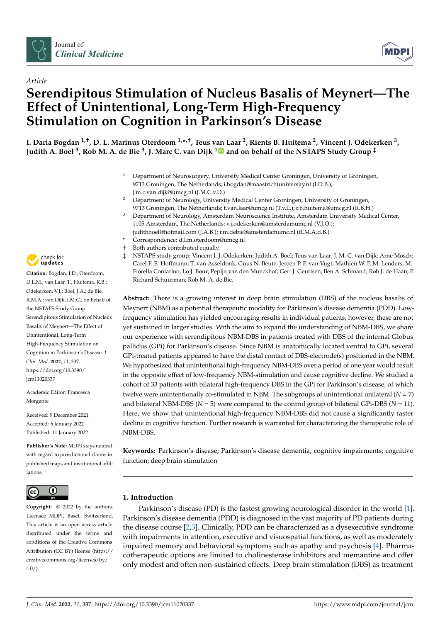



# *Article* **Serendipitous Stimulation of Nucleus Basalis of Meynert—The Effect of Unintentional, Long-Term High-Frequency Stimulation on Cognition in Parkinson's Disease**

**I. Daria Bogdan 1,†, D. L. Marinus Oterdoom 1,\* ,†, Teus van Laar <sup>2</sup> , Rients B. Huitema <sup>2</sup> , Vincent J. Odekerken <sup>3</sup> , Judith A. Boel <sup>3</sup> , Rob M. A. de Bie <sup>3</sup> , J. Marc C. van Dijk [1](https://orcid.org/0000-0002-0814-5680) and on behalf of the NSTAPS Study Group ‡**

- <sup>1</sup> Department of Neurosurgery, University Medical Center Groningen, University of Groningen, 9713 Groningen, The Netherlands; i.bogdan@maastrichtuniversity.nl (I.D.B.); j.m.c.van.dijk@umcg.nl (J.M.C.v.D.)
- <sup>2</sup> Department of Neurology, University Medical Center Groningen, University of Groningen, 9713 Groningen, The Netherlands; t.van.laar@umcg.nl (T.v.L.); r.b.huitema@umcg.nl (R.B.H.)
- <sup>3</sup> Department of Neurology, Amsterdam Neuroscience Institute, Amsterdam University Medical Center, 1105 Amsterdam, The Netherlands; v.j.odekerken@amsterdamumc.nl (V.J.O.); judithboel@hotmail.com (J.A.B.); r.m.debie@amsterdamumc.nl (R.M.A.d.B.)
- **\*** Correspondence: d.l.m.oterdoom@umcg.nl
- † Both authors contributed equally.
- ‡ NSTAPS study group: Vincent J. J. Odekerken; Judith A. Boel; Teus van Laar; J. M. C. van Dijk; Arne Mosch; Carel F. E. Hoffmann; T. van Asseldonk, Guus N. Beute; Jeroen P. P. van Vugt; Mathieu W. P. M. Lenders; M. Fiorella Contarino; Lo J. Bour; Pepijn van den Munckhof; Gert J. Geurtsen; Ben A. Schmand; Rob J. de Haan; P. Richard Schuurman; Rob M. A. de Bie.

**Abstract:** There is a growing interest in deep brain stimulation (DBS) of the nucleus basalis of Meynert (NBM) as a potential therapeutic modality for Parkinson's disease dementia (PDD). Lowfrequency stimulation has yielded encouraging results in individual patients; however, these are not yet sustained in larger studies. With the aim to expand the understanding of NBM-DBS, we share our experience with serendipitous NBM-DBS in patients treated with DBS of the internal Globus pallidus (GPi) for Parkinson's disease. Since NBM is anatomically located ventral to GPi, several GPi-treated patients appeared to have the distal contact of DBS-electrode(s) positioned in the NBM. We hypothesized that unintentional high-frequency NBM-DBS over a period of one year would result in the opposite effect of low-frequency NBM-stimulation and cause cognitive decline. We studied a cohort of 33 patients with bilateral high-frequency DBS in the GPi for Parkinson's disease, of which twelve were unintentionally co-stimulated in NBM. The subgroups of unintentional unilateral  $(N = 7)$ and bilateral NBM-DBS ( $N = 5$ ) were compared to the control group of bilateral GPi-DBS ( $N = 11$ ). Here, we show that unintentional high-frequency NBM-DBS did not cause a significantly faster decline in cognitive function. Further research is warranted for characterizing the therapeutic role of NBM-DBS.

**Keywords:** Parkinson's disease; Parkinson's disease dementia; cognitive impairments; cognitive function; deep brain stimulation

# **1. Introduction**

Parkinson's disease (PD) is the fastest growing neurological disorder in the world [\[1\]](#page-7-0). Parkinson's disease dementia (PDD) is diagnosed in the vast majority of PD patients during the disease course [\[2](#page-7-1)[,3\]](#page-7-2). Clinically, PDD can be characterized as a dysexecutive syndrome with impairments in attention, executive and visuospatial functions, as well as moderately impaired memory and behavioral symptoms such as apathy and psychosis [\[4\]](#page-7-3). Pharmacotherapeutic options are limited to cholinesterase inhibitors and memantine and offer only modest and often non-sustained effects. Deep brain stimulation (DBS) as treatment



**Citation:** Bogdan, I.D.; Oterdoom, D.L.M.; van Laar, T.; Huitema, R.B.; Odekerken, V.J.; Boel, J.A.; de Bie, R.M.A.; van Dijk, J.M.C.; on behalf of the NSTAPS Study Group. Serendipitous Stimulation of Nucleus Basalis of Meynert—The Effect of Unintentional, Long-Term High-Frequency Stimulation on Cognition in Parkinson's Disease. *J. Clin. Med.* **2022**, *11*, 337. [https://doi.org/10.3390/](https://doi.org/10.3390/jcm11020337) [jcm11020337](https://doi.org/10.3390/jcm11020337)

Academic Editor: Francesca Morgante

Received: 9 December 2021 Accepted: 6 January 2022 Published: 11 January 2022

**Publisher's Note:** MDPI stays neutral with regard to jurisdictional claims in published maps and institutional affiliations.



**Copyright:** © 2022 by the authors. Licensee MDPI, Basel, Switzerland. This article is an open access article distributed under the terms and conditions of the Creative Commons Attribution (CC BY) license [\(https://](https://creativecommons.org/licenses/by/4.0/) [creativecommons.org/licenses/by/](https://creativecommons.org/licenses/by/4.0/)  $4.0/$ ).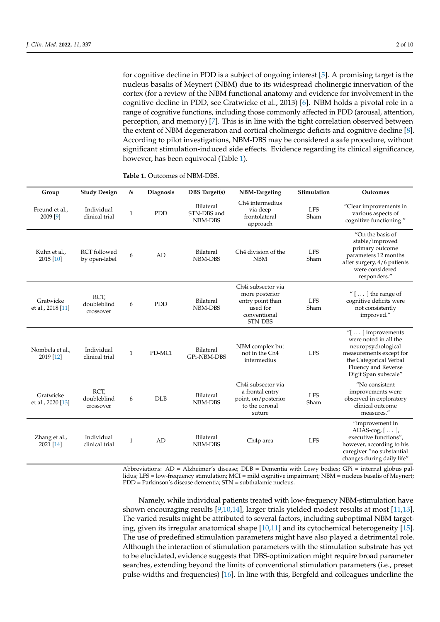for cognitive decline in PDD is a subject of ongoing interest [\[5\]](#page-7-4). A promising target is the nucleus basalis of Meynert (NBM) due to its widespread cholinergic innervation of the cortex (for a review of the NBM functional anatomy and evidence for involvement in the cognitive decline in PDD, see Gratwicke et al., 2013) [\[6\]](#page-7-5). NBM holds a pivotal role in a range of cognitive functions, including those commonly affected in PDD (arousal, attention, perception, and memory) [\[7\]](#page-7-6). This is in line with the tight correlation observed between the extent of NBM degeneration and cortical cholinergic deficits and cognitive decline [\[8\]](#page-7-7). According to pilot investigations, NBM-DBS may be considered a safe procedure, without significant stimulation-induced side effects. Evidence regarding its clinical significance, however, has been equivocal (Table [1\)](#page-1-0).

| Group                          | <b>Study Design</b>                  | $\boldsymbol{N}$ | Diagnosis  | <b>DBS</b> Target(s)                | <b>NBM-Targeting</b>                                                                            | Stimulation        | Outcomes                                                                                                                                                                                  |
|--------------------------------|--------------------------------------|------------------|------------|-------------------------------------|-------------------------------------------------------------------------------------------------|--------------------|-------------------------------------------------------------------------------------------------------------------------------------------------------------------------------------------|
| Freund et al.,<br>2009 [9]     | Individual<br>clinical trial         | $\mathbf{1}$     | <b>PDD</b> | Bilateral<br>STN-DBS and<br>NBM-DBS | Ch <sub>4</sub> intermedius<br>via deep<br>frontolateral<br>approach                            | <b>LFS</b><br>Sham | "Clear improvements in<br>various aspects of<br>cognitive functioning."                                                                                                                   |
| Kuhn et al.,<br>2015 [10]      | <b>RCT</b> followed<br>by open-label | 6                | AD         | Bilateral<br>NBM-DBS                | Ch <sub>4</sub> division of the<br><b>NBM</b>                                                   | <b>LFS</b><br>Sham | "On the basis of<br>stable/improved<br>primary outcome<br>parameters 12 months<br>after surgery, 4/6 patients<br>were considered<br>responders."                                          |
| Gratwicke<br>et al., 2018 [11] | RCT,<br>doubleblind<br>crossover     | 6                | <b>PDD</b> | Bilateral<br>NBM-DBS                | Ch4i subsector via<br>more posterior<br>entry point than<br>used for<br>conventional<br>STN-DBS | <b>LFS</b><br>Sham | " $[]$ the range of<br>cognitive deficits were<br>not consistently<br>improved."                                                                                                          |
| Nombela et al.,<br>2019 [12]   | Individual<br>clinical trial         | $\mathbf{1}$     | PD-MCI     | Bilateral<br>GPi-NBM-DBS            | NBM complex but<br>not in the Ch <sub>4</sub><br>intermedius                                    | <b>LFS</b>         | " $\left[ \ldots \right]$ improvements<br>were noted in all the<br>neuropsychological<br>measurements except for<br>the Categorical Verbal<br>Fluency and Reverse<br>Digit Span subscale" |
| Gratwicke<br>et al., 2020 [13] | RCT,<br>doubleblind<br>crossover     | 6                | <b>DLB</b> | Bilateral<br>NBM-DBS                | Ch4i subsector via<br>a frontal entry<br>point, on/posterior<br>to the coronal<br>suture        | <b>LFS</b><br>Sham | "No consistent<br>improvements were<br>observed in exploratory<br>clinical outcome<br>measures."                                                                                          |
| Zhang et al.,<br>2021 [14]     | Individual<br>clinical trial         | $\mathbf{1}$     | AD         | Bilateral<br>NBM-DBS                | Ch <sub>4p</sub> area                                                                           | <b>LFS</b>         | "improvement in<br>ADAS-cog, $[\dots]$<br>executive functions",<br>however, according to his<br>caregiver "no substantial<br>changes during daily life"                                   |

<span id="page-1-0"></span>**Table 1.** Outcomes of NBM-DBS.

Abbreviations: AD = Alzheimer's disease; DLB = Dementia with Lewy bodies; GPi = internal globus pallidus; LFS = low-frequency stimulation; MCI = mild cognitive impairment; NBM = nucleus basalis of Meynert; PDD = Parkinson's disease dementia; STN = subthalamic nucleus.

Namely, while individual patients treated with low-frequency NBM-stimulation have shown encouraging results [\[9](#page-7-8)[,10](#page-7-9)[,14\]](#page-8-0), larger trials yielded modest results at most [\[11,](#page-7-10)[13\]](#page-7-12). The varied results might be attributed to several factors, including suboptimal NBM targeting, given its irregular anatomical shape [\[10,](#page-7-9)[11\]](#page-7-10) and its cytochemical heterogeneity [\[15\]](#page-8-1). The use of predefined stimulation parameters might have also played a detrimental role. Although the interaction of stimulation parameters with the stimulation substrate has yet to be elucidated, evidence suggests that DBS-optimization might require broad parameter searches, extending beyond the limits of conventional stimulation parameters (i.e., preset pulse-widths and frequencies) [\[16\]](#page-8-2). In line with this, Bergfeld and colleagues underline the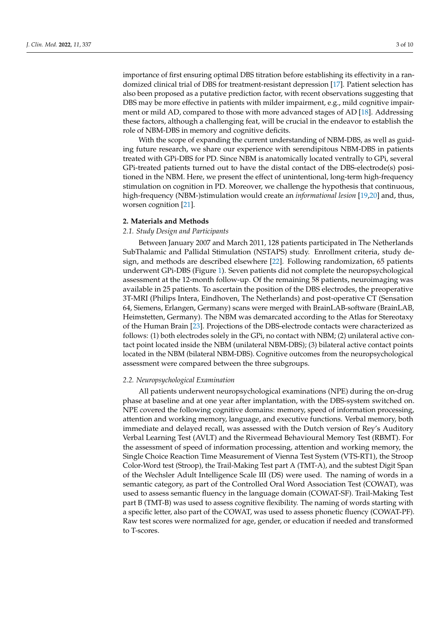importance of first ensuring optimal DBS titration before establishing its effectivity in a randomized clinical trial of DBS for treatment-resistant depression [\[17\]](#page-8-3). Patient selection has also been proposed as a putative prediction factor, with recent observations suggesting that DBS may be more effective in patients with milder impairment, e.g., mild cognitive impairment or mild AD, compared to those with more advanced stages of AD [\[18\]](#page-8-4). Addressing these factors, although a challenging feat, will be crucial in the endeavor to establish the role of NBM-DBS in memory and cognitive deficits.

With the scope of expanding the current understanding of NBM-DBS, as well as guiding future research, we share our experience with serendipitous NBM-DBS in patients treated with GPi-DBS for PD. Since NBM is anatomically located ventrally to GPi, several GPi-treated patients turned out to have the distal contact of the DBS-electrode(s) positioned in the NBM. Here, we present the effect of unintentional, long-term high-frequency stimulation on cognition in PD. Moreover, we challenge the hypothesis that continuous, high-frequency (NBM-)stimulation would create an *informational lesion* [\[19](#page-8-5)[,20\]](#page-8-6) and, thus, worsen cognition [\[21\]](#page-8-7).

# **2. Materials and Methods**

# *2.1. Study Design and Participants*

Between January 2007 and March 2011, 128 patients participated in The Netherlands SubThalamic and Pallidal Stimulation (NSTAPS) study. Enrollment criteria, study design, and methods are described elsewhere [\[22\]](#page-8-8). Following randomization, 65 patients underwent GPi-DBS (Figure [1\)](#page-3-0). Seven patients did not complete the neuropsychological assessment at the 12-month follow-up. Of the remaining 58 patients, neuroimaging was available in 25 patients. To ascertain the position of the DBS electrodes, the preoperative 3T-MRI (Philips Intera, Eindhoven, The Netherlands) and post-operative CT (Sensation 64, Siemens, Erlangen, Germany) scans were merged with BrainLAB-software (BrainLAB, Heimstetten, Germany). The NBM was demarcated according to the Atlas for Stereotaxy of the Human Brain [\[23\]](#page-8-9). Projections of the DBS-electrode contacts were characterized as follows: (1) both electrodes solely in the GPi, no contact with NBM; (2) unilateral active contact point located inside the NBM (unilateral NBM-DBS); (3) bilateral active contact points located in the NBM (bilateral NBM-DBS). Cognitive outcomes from the neuropsychological assessment were compared between the three subgroups.

### *2.2. Neuropsychological Examination*

All patients underwent neuropsychological examinations (NPE) during the on-drug phase at baseline and at one year after implantation, with the DBS-system switched on. NPE covered the following cognitive domains: memory, speed of information processing, attention and working memory, language, and executive functions. Verbal memory, both immediate and delayed recall, was assessed with the Dutch version of Rey's Auditory Verbal Learning Test (AVLT) and the Rivermead Behavioural Memory Test (RBMT). For the assessment of speed of information processing, attention and working memory, the Single Choice Reaction Time Measurement of Vienna Test System (VTS-RT1), the Stroop Color-Word test (Stroop), the Trail-Making Test part A (TMT-A), and the subtest Digit Span of the Wechsler Adult Intelligence Scale III (DS) were used. The naming of words in a semantic category, as part of the Controlled Oral Word Association Test (COWAT), was used to assess semantic fluency in the language domain (COWAT-SF). Trail-Making Test part B (TMT-B) was used to assess cognitive flexibility. The naming of words starting with a specific letter, also part of the COWAT, was used to assess phonetic fluency (COWAT-PF). Raw test scores were normalized for age, gender, or education if needed and transformed to T-scores.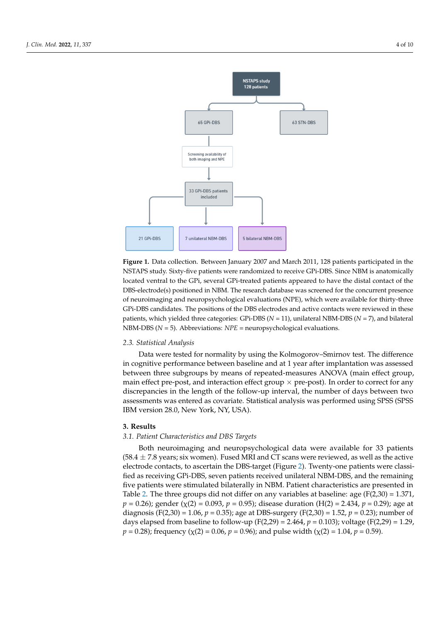<span id="page-3-0"></span>

**Figure 1.** Data collection. Between January 2007 and March 2011, 128 patients participated in the **Figure 1.** Data collection. Between January 2007 and March 2011, 128 patients participated in the NSTAPS study. Sixty-five patients were randomized to receive GPi-DBS. Since NBM is anatomically NSTAPS study. Sixty-five patients were randomized to receive GPi-DBS. Since NBM is anatomically located ventral to the GPi, several GPi-treated patients appeared to have the distal contact of the located ventral to the GPi, several GPi-treated patients appeared to have the distal contact of the DBS-electrode(s) positioned in NBM. The research database was screened for the concurrent presence ence of neuroimaging and neuropsychological evaluations (NPE), which were available for thirty-of neuroimaging and neuropsychological evaluations (NPE), which were available for thirty-three  $\frac{1}{2}$ GPi-DBS candidates. The positions of the DBS electrodes and active contacts were reviewed in these patients, which yielded three categories: GPi-DBS (*N* = 11), unilateral NBM-DBS (*N* = 7), and bilateral NBM-DBS (*N* = 5). Abbreviations: *NPE* = neuropsychological evaluations.

# *2.2. Neuropsychological Examination 2.3. Statistical Analysis*

Data were tested for normality by using the Kolmogorov–Smirnov test. The difference in cognitive performance between baseline and at 1 year after implantation was assessed between three subgroups by means of repeated-measures ANOVA (main effect group, main effect pre-post, and interaction effect group  $\times$  pre-post). In order to correct for any discrepancies in the length of the follow-up interval, the number of days between two assessments was entered as covariate. Statistical analysis was performed using SPSS (SPSS) IBM version 28.0, New York, NY, USA). Single Choice Reaction Time Measurement of Vienna Test System (VTS-RT1), the Stroop

#### $\mathbf{S.}$  Results and the Trail-Making Test part  $\mathbf{S.}$ **3. Results**

# 3.1. Patient Characteristics and DBS Targets. The naming of words in the name of words in the name of words in the name of words in the name of words in the name of words in the name of words in the name of words in the na

Both neuroimaging and neuropsychological data were available for 33 patients  $(58.4 \pm 7.8 \text{ years})$ ; six women). Fused MRI and CT scans were reviewed, as well as the active electrode contacts, to ascertain the DBS-target (Figure [2\)](#page-4-0). Twenty-one patients were classified as receiving GPi-DBS, seven patients received unilateral NBM-DBS, and the remaining five patients were stimulated bilaterally in NBM. Patient characteristics are presented in Table 2. The three groups did not differ on any variables at baseline: age (F(2,30) = 1.371, *2.3. Statistical Analysis*  diagnosis (F(2,30) = 1.06, *p* = 0.35); age at DBS-surgery (F(2,30) = 1.52, *p* = 0.23); number of days elapsed from baseline to follow-up (F(2,29) = 2.464,  $p = 0.103$ ); voltage (F(2,29) = 1.29,  $p = 0.28$ ); frequency ( $\chi$ (2) = 0.06,  $p = 0.96$ ); and pulse width ( $\chi$ (2) = 1.04,  $p = 0.59$ ). *p* = 0.26); gender (χ(2) = 0.093, *p* = 0.95); disease duration (H(2) = 2.434, *p* = 0.29); age at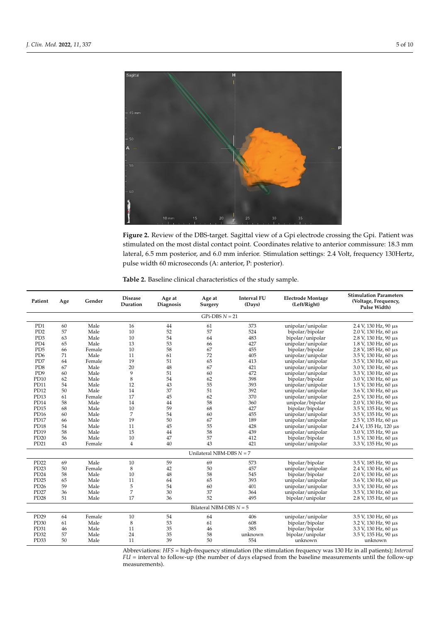<span id="page-4-0"></span>

**Figure 2.** Review of the DBS-target. Sagittal view of a Gpi electrode crossing the Gpi. Patient was **Figure 2.** Review of the DBS-target. Sagittal view of a Gpi electrode crossing the Gpi. Patient was stimulated on the most distal contact point. Coordinates relative to anterior commissure: 18.3 mm stimulated on the most distal contact point. Coordinates relative to anterior commissure: 18.3 mm lateral, 6.5 mm posterior, and 6.0 mm inferior. Stimulation settings: 2.4 Volt, frequency 130Hertz, lateral, 6.5 mm posterior, and 6.0 mm inferior. Stimulation settings: 2.4 Volt, frequency 130Hertz, pulse width 60 microseconds (A: anterior, P: posterior). pulse width 60 microseconds (A: anterior, P: posterior).

<span id="page-4-1"></span>

|  | Table 2. Baseline clinical characteristics of the study sample. |  |  |
|--|-----------------------------------------------------------------|--|--|
|  |                                                                 |  |  |

| Patient                     | Age | Gender | <b>Disease</b><br>Duration | Age at<br>Diagnosis | Age at<br>Surgery         | <b>Interval FU</b><br>(Days) | <b>Electrode Montage</b><br>(Left/Right) | <b>Stimulation Parameters</b><br>(Voltage, Frequency,<br>Pulse Width) |  |  |
|-----------------------------|-----|--------|----------------------------|---------------------|---------------------------|------------------------------|------------------------------------------|-----------------------------------------------------------------------|--|--|
| $GPi-DBS N = 21$            |     |        |                            |                     |                           |                              |                                          |                                                                       |  |  |
| P <sub>D</sub> 1            | 60  | Male   | 16                         | 44                  | 61                        | 373                          | unipolar/unipolar                        | 2.4 V, 130 Hz, 90 μs                                                  |  |  |
| P <sub>D</sub> 2            | 57  | Male   | 10                         | 52                  | 57                        | 524                          | bipolar/bipolar                          | 2.0 V, 130 Hz, 60 µs                                                  |  |  |
| PD <sub>3</sub>             | 63  | Male   | 10                         | 54                  | 64                        | 483                          | bipolar/unipolar                         | 2.8 V, 130 Hz, 90 µs                                                  |  |  |
| P <sub>D</sub> <sub>4</sub> | 65  | Male   | 13                         | 53                  | 66                        | 427                          | unipolar/unipolar                        | 1.8 V, 130 Hz, 60 µs                                                  |  |  |
| P <sub>D</sub> <sub>5</sub> | 66  | Female | 10                         | 58                  | 67                        | 455                          | bipolar/bipolar                          | 2.8 V, 185 Hz, 60 µs                                                  |  |  |
| P <sub>D6</sub>             | 71  | Male   | 11                         | 61                  | 72                        | 405                          | unipolar/unipolar                        | 3.5 V, 130 Hz, 60 µs                                                  |  |  |
| PD7                         | 64  | Female | 19                         | 51                  | 65                        | 413                          | unipolar/unipolar                        | 3.5 V, 130 Hz, 60 µs                                                  |  |  |
| P <sub>D</sub> 8            | 67  | Male   | 20                         | 48                  | 67                        | 421                          | unipolar/unipolar                        | 3.0 V, 130 Hz, 60 µs                                                  |  |  |
| P <sub>D</sub> 9            | 60  | Male   | 9                          | 51                  | 60                        | 472                          | unipolar/unipolar                        | 3.3 V, 130 Hz, 60 µs                                                  |  |  |
| PD10                        | 62  | Male   | 8                          | 54                  | 62                        | 398                          | bipolar/bipolar                          | $3.0$ V, 130 Hz, 60 $\mu$ s                                           |  |  |
| <b>PD11</b>                 | 54  | Male   | 12                         | 43                  | 55                        | 393                          | unipolar/unipolar                        | $1.5$ V, 130 Hz, 60 $\mu$ s                                           |  |  |
| PD <sub>12</sub>            | 50  | Male   | 14                         | 37                  | 51                        | 392                          | unipolar/unipolar                        | 3.6 V, 130 Hz, 60 µs                                                  |  |  |
| PD <sub>13</sub>            | 61  | Female | 17                         | 45                  | 62                        | 370                          | unipolar/unipolar                        | 2.5 V, 130 Hz, 60 µs                                                  |  |  |
| PD14                        | 58  | Male   | 14                         | 44                  | 58                        | 360                          | unipolar/bipolar                         | 2.0 V, 130 Hz, 90 µs                                                  |  |  |
| PD <sub>15</sub>            | 68  | Male   | 10                         | 59                  | 68                        | 427                          | bipolar/bipolar                          | 3.5 V, 135 Hz, 90 µs                                                  |  |  |
| PD <sub>16</sub>            | 60  | Male   | $\overline{7}$             | 54                  | 60                        | 455                          | unipolar/unipolar                        | 3.5 V, 135 Hz, 90 µs                                                  |  |  |
| PD17                        | 66  | Male   | 19                         | 50                  | 67                        | 189                          | unipolar/unipolar                        | $2.5$ V, 135 Hz, 60 $\mu$ s                                           |  |  |
| PD <sub>18</sub>            | 54  | Male   | 11                         | 45                  | 55                        | 428                          | unipolar/unipolar                        | 2.4 V, 135 Hz, 120 μs                                                 |  |  |
| PD19                        | 58  | Male   | 15                         | 44                  | 58                        | 439                          | unipolar/unipolar                        | 3.0 V, 135 Hz, 90 µs                                                  |  |  |
| PD20                        | 56  | Male   | 10                         | 47                  | 57                        | 412                          | bipolar/bipolar                          | 1.5 V, 130 Hz, 60 µs                                                  |  |  |
| PD21                        | 43  | Female | $\overline{4}$             | 40                  | 43                        | 421                          | unipolar/unipolar                        | 3.3 V, 135 Hz, 90 µs                                                  |  |  |
| Unilateral NBM-DBS $N = 7$  |     |        |                            |                     |                           |                              |                                          |                                                                       |  |  |
| PD22                        | 69  | Male   | 10                         | 59                  | 69                        | 573                          | bipolar/bipolar                          | 3.5 V, 185 Hz, 90 µs                                                  |  |  |
| PD <sub>23</sub>            | 50  | Female | 8                          | 42                  | 50                        | 457                          | unipolar/unipolar                        | 2.4 V, 130 Hz, 60 µs                                                  |  |  |
| PD <sub>24</sub>            | 58  | Male   | 10                         | 48                  | 58                        | 545                          | bipolar/bipolar                          | 2.0 V, 130 Hz, 60 µs                                                  |  |  |
| PD <sub>25</sub>            | 65  | Male   | 11                         | 64                  | 65                        | 393                          | unipolar/unipolar                        | 3.6 V, 130 Hz, 60 µs                                                  |  |  |
| PD <sub>26</sub>            | 59  | Male   | 5                          | 54                  | 60                        | 401                          | unipolar/unipolar                        | 3.3 V, 130 Hz, 60 µs                                                  |  |  |
| PD <sub>27</sub>            | 36  | Male   | 7                          | 30                  | 37                        | 364                          | unipolar/unipolar                        | 3.5 V, 130 Hz, 60 µs                                                  |  |  |
| PD <sub>28</sub>            | 51  | Male   | 17                         | 36                  | 52                        | 495                          | bipolar/unipolar                         | $2.8$ V, 135 Hz, 60 $\mu$ s                                           |  |  |
|                             |     |        |                            |                     | Bilateral NBM-DBS $N = 5$ |                              |                                          |                                                                       |  |  |
| PD29                        | 64  | Female | 10                         | 54                  | 64                        | 406                          | unipolar/unipolar                        | 3.5 V, 130 Hz, 60 µs                                                  |  |  |
| PD <sub>30</sub>            | 61  | Male   | 8                          | 53                  | 61                        | 608                          | bipolar/bipolar                          | 3.2 V, 130 Hz, 90 µs                                                  |  |  |
| PD31                        | 46  | Male   | 11                         | 35                  | 46                        | 385                          | bipolar/bipolar                          | 3.3 V, 130 Hz, 60 µs                                                  |  |  |
| PD32                        | 57  | Male   | 24                         | 35                  | 58                        | unknown                      | bipolar/unipolar                         | 3.5 V, 135 Hz, 90 µs                                                  |  |  |
| PD33                        | 50  | Male   | 11                         | 39                  | 50                        | 554                          | unknown                                  | unknown                                                               |  |  |

Abbreviations: *HFS* = high-frequency stimulation (the stimulation frequency was 130 Hz in all patients); *Interval FU* = interval to follow-up (the number of days elapsed from the baseline measurements until the follow-up measurements).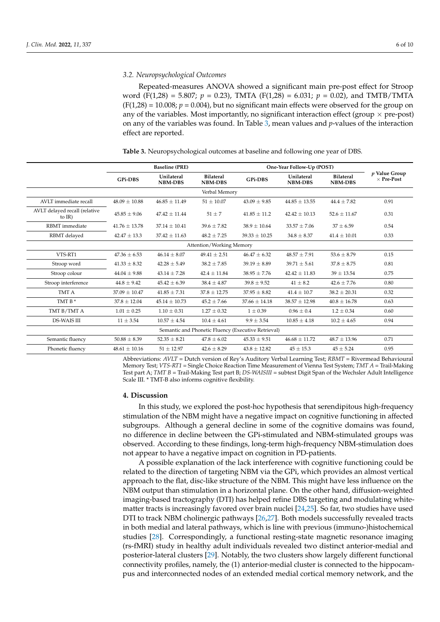### *3.2. Neuropsychological Outcomes*

Repeated-measures ANOVA showed a significant main pre-post effect for Stroop word (F(1,28) = 5.807; *p* = 0.23), TMTA (F(1,28) = 6.031; *p* = 0.02), and TMTB/TMTA  $(F(1,28) = 10.008; p = 0.004)$ , but no significant main effects were observed for the group on any of the variables. Most importantly, no significant interaction effect (group  $\times$  pre-post) on any of the variables was found. In Table [3,](#page-5-0) mean values and *p*-values of the interaction effect are reported.

<span id="page-5-0"></span>

|  |  | Table 3. Neuropsychological outcomes at baseline and following one year of DBS. |
|--|--|---------------------------------------------------------------------------------|
|--|--|---------------------------------------------------------------------------------|

|                                                     | <b>Baseline (PRE)</b> |                              |                                    | One-Year Follow-Up (POST) |                              |                                    |                                           |  |
|-----------------------------------------------------|-----------------------|------------------------------|------------------------------------|---------------------------|------------------------------|------------------------------------|-------------------------------------------|--|
|                                                     | <b>GPi-DBS</b>        | Unilateral<br><b>NBM-DBS</b> | <b>Bilateral</b><br><b>NBM-DBS</b> | <b>GPi-DBS</b>            | Unilateral<br><b>NBM-DBS</b> | <b>Bilateral</b><br><b>NBM-DBS</b> | <i>v</i> Value Group<br>$\times$ Pre-Post |  |
|                                                     |                       |                              | Verbal Memory                      |                           |                              |                                    |                                           |  |
| AVLT immediate recall                               | $48.09 \pm 10.88$     | $46.85 \pm 11.49$            | $51 \pm 10.07$                     | $43.09 \pm 9.85$          | $44.85 \pm 13.55$            | $44.4 \pm 7.82$                    | 0.91                                      |  |
| AVLT delayed recall (relative<br>to $IR$ )          | $45.85 \pm 9.06$      | $47.42 \pm 11.44$            | $51 \pm 7$                         | $41.85 \pm 11.2$          | $42.42 \pm 10.13$            | $52.6 \pm 11.67$                   | 0.31                                      |  |
| RBMT immediate                                      | $41.76 \pm 13.78$     | $37.14 \pm 10.41$            | $39.6 \pm 7.82$                    | $38.9 \pm 10.64$          | $33.57 \pm 7.06$             | $37 \pm 6.59$                      | 0.54                                      |  |
| RBMT delayed                                        | $42.47 \pm 13.3$      | $37.42 \pm 11.63$            | $48.2 \pm 7.25$                    | $39.33 \pm 10.25$         | $34.8 \pm 8.37$              | $41.4 \pm 10.01$                   | 0.33                                      |  |
|                                                     |                       |                              | Attention/Working Memory           |                           |                              |                                    |                                           |  |
| VTS-RT1                                             | $47.36 \pm 6.53$      | $46.14 \pm 8.07$             | $49.41 \pm 2.51$                   | $46.47 + 6.32$            | $48.57 \pm 7.91$             | $53.6 \pm 8.79$                    | 0.15                                      |  |
| Stroop word                                         | $41.33 \pm 8.32$      | $42.28 \pm 5.49$             | $38.2 \pm 7.85$                    | $39.19 \pm 8.89$          | $39.71 \pm 5.61$             | $37.8 \pm 8.75$                    | 0.81                                      |  |
| Stroop colour                                       | $44.04 \pm 9.88$      | $43.14 \pm 7.28$             | $42.4 \pm 11.84$                   | $38.95 \pm 7.76$          | $42.42 \pm 11.83$            | $39 \pm 13.54$                     | 0.75                                      |  |
| Stroop interference                                 | $44.8 \pm 9.42$       | $45.42 \pm 6.39$             | $38.4 \pm 4.87$                    | $39.8 \pm 9.52$           | $41 \pm 8.2$                 | $42.6 \pm 7.76$                    | 0.80                                      |  |
| TMT A                                               | $37.09 \pm 10.47$     | $41.85 \pm 7.31$             | $37.8 \pm 12.75$                   | $37.95 \pm 8.82$          | $41.4 \pm 10.7$              | $38.2 \pm 20.31$                   | 0.32                                      |  |
| TMT B*                                              | $37.8 \pm 12.04$      | $45.14 \pm 10.73$            | $45.2 \pm 7.66$                    | $37.66 \pm 14.18$         | $38.57 \pm 12.98$            | $40.8 \pm 16.78$                   | 0.63                                      |  |
| TMT B/TMT A                                         | $1.01 \pm 0.25$       | $1.10 \pm 0.31$              | $1.27 \pm 0.32$                    | $1 \pm 0.39$              | $0.96 \pm 0.4$               | $1.2 \pm 0.34$                     | 0.60                                      |  |
| DS-WAIS III                                         | $11 \pm 3.54$         | $10.57 \pm 4.54$             | $10.4 \pm 4.61$                    | $9.9 \pm 3.54$            | $10.85 \pm 4.18$             | $10.2 \pm 4.65$                    | 0.94                                      |  |
| Semantic and Phonetic Fluency (Executive Retrieval) |                       |                              |                                    |                           |                              |                                    |                                           |  |
| Semantic fluency                                    | $50.88 \pm 8.39$      | $52.35 \pm 8.21$             | $47.8 \pm 6.02$                    | $45.33 \pm 9.51$          | $46.68 \pm 11.72$            | $48.7 \pm 13.96$                   | 0.71                                      |  |
| Phonetic fluency                                    | $48.61 \pm 10.16$     | $51 \pm 12.97$               | $42.6 \pm 8.29$                    | $43.8 \pm 12.82$          | $45 \pm 15.3$                | $45 \pm 5.24$                      | 0.95                                      |  |

Abbreviations: *AVLT* = Dutch version of Rey's Auditory Verbal Learning Test; *RBMT* = Rivermead Behavioural Memory Test; *VTS-RT1* = Single Choice Reaction Time Measurement of Vienna Test System; *TMT A* = Trail-Making Test part A; *TMT B* = Trail-Making Test part B; *DS-WAISIII* = subtest Digit Span of the Wechsler Adult Intelligence Scale III. \* TMT-B also informs cognitive flexibility.

#### **4. Discussion**

In this study, we explored the post-hoc hypothesis that serendipitous high-frequency stimulation of the NBM might have a negative impact on cognitive functioning in affected subgroups. Although a general decline in some of the cognitive domains was found, no difference in decline between the GPi-stimulated and NBM-stimulated groups was observed. According to these findings, long-term high-frequency NBM-stimulation does not appear to have a negative impact on cognition in PD-patients.

A possible explanation of the lack interference with cognitive functioning could be related to the direction of targeting NBM via the GPi, which provides an almost vertical approach to the flat, disc-like structure of the NBM. This might have less influence on the NBM output than stimulation in a horizontal plane. On the other hand, diffusion-weighted imaging-based tractography (DTI) has helped refine DBS targeting and modulating whitematter tracts is increasingly favored over brain nuclei [\[24,](#page-8-10)[25\]](#page-8-11). So far, two studies have used DTI to track NBM cholinergic pathways [\[26](#page-8-12)[,27\]](#page-8-13). Both models successfully revealed tracts in both medial and lateral pathways, which is line with previous (immuno-)histochemical studies [\[28\]](#page-8-14). Correspondingly, a functional resting-state magnetic resonance imaging (rs-fMRI) study in healthy adult individuals revealed two distinct anterior-medial and posterior-lateral clusters [\[29\]](#page-8-15). Notably, the two clusters show largely different functional connectivity profiles, namely, the (1) anterior-medial cluster is connected to the hippocampus and interconnected nodes of an extended medial cortical memory network, and the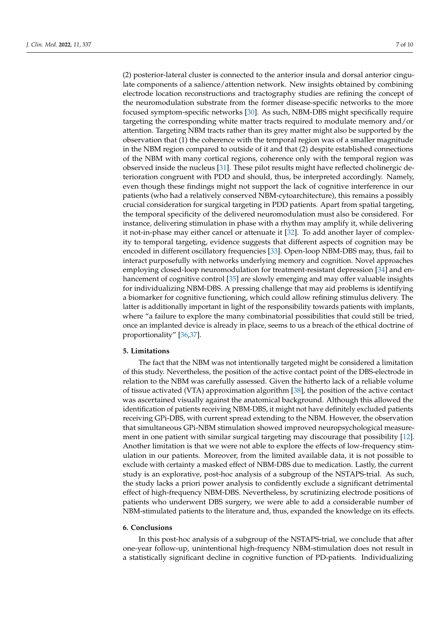(2) posterior-lateral cluster is connected to the anterior insula and dorsal anterior cingulate components of a salience/attention network. New insights obtained by combining electrode location reconstructions and tractography studies are refining the concept of the neuromodulation substrate from the former disease-specific networks to the more focused symptom-specific networks [\[30\]](#page-8-16). As such, NBM-DBS might specifically require targeting the corresponding white matter tracts required to modulate memory and/or attention. Targeting NBM tracts rather than its grey matter might also be supported by the observation that (1) the coherence with the temporal region was of a smaller magnitude in the NBM region compared to outside of it and that (2) despite established connections of the NBM with many cortical regions, coherence only with the temporal region was observed inside the nucleus [\[31\]](#page-8-17). These pilot results might have reflected cholinergic deterioration congruent with PDD and should, thus, be interpreted accordingly. Namely, even though these findings might not support the lack of cognitive interference in our patients (who had a relatively conserved NBM-cytoarchitecture), this remains a possibly crucial consideration for surgical targeting in PDD patients. Apart from spatial targeting, the temporal specificity of the delivered neuromodulation must also be considered. For instance, delivering stimulation in phase with a rhythm may amplify it, while delivering it not-in-phase may either cancel or attenuate it [\[32\]](#page-8-18). To add another layer of complexity to temporal targeting, evidence suggests that different aspects of cognition may be encoded in different oscillatory frequencies [\[33\]](#page-8-19). Open-loop NBM-DBS may, thus, fail to interact purposefully with networks underlying memory and cognition. Novel approaches employing closed-loop neuromodulation for treatment-resistant depression [\[34\]](#page-8-20) and enhancement of cognitive control [\[35\]](#page-8-21) are slowly emerging and may offer valuable insights for individualizing NBM-DBS. A pressing challenge that may aid problems is identifying a biomarker for cognitive functioning, which could allow refining stimulus delivery. The latter is additionally important in light of the responsibility towards patients with implants, where "a failure to explore the many combinatorial possibilities that could still be tried, once an implanted device is already in place, seems to us a breach of the ethical doctrine of proportionality" [\[36](#page-8-22)[,37\]](#page-9-0).

### **5. Limitations**

The fact that the NBM was not intentionally targeted might be considered a limitation of this study. Nevertheless, the position of the active contact point of the DBS-electrode in relation to the NBM was carefully assessed. Given the hitherto lack of a reliable volume of tissue activated (VTA) approximation algorithm [\[38\]](#page-9-1), the position of the active contact was ascertained visually against the anatomical background. Although this allowed the identification of patients receiving NBM-DBS, it might not have definitely excluded patients receiving GPi-DBS, with current spread extending to the NBM. However, the observation that simultaneous GPi-NBM stimulation showed improved neuropsychological measurement in one patient with similar surgical targeting may discourage that possibility [\[12\]](#page-7-11). Another limitation is that we were not able to explore the effects of low-frequency stimulation in our patients. Moreover, from the limited available data, it is not possible to exclude with certainty a masked effect of NBM-DBS due to medication. Lastly, the current study is an explorative, post-hoc analysis of a subgroup of the NSTAPS-trial. As such, the study lacks a priori power analysis to confidently exclude a significant detrimental effect of high-frequency NBM-DBS. Nevertheless, by scrutinizing electrode positions of patients who underwent DBS surgery, we were able to add a considerable number of NBM-stimulated patients to the literature and, thus, expanded the knowledge on its effects.

### **6. Conclusions**

In this post-hoc analysis of a subgroup of the NSTAPS-trial, we conclude that after one-year follow-up, unintentional high-frequency NBM-stimulation does not result in a statistically significant decline in cognitive function of PD-patients. Individualizing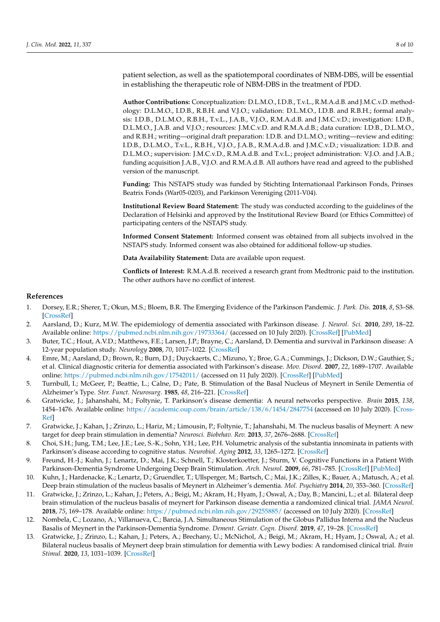patient selection, as well as the spatiotemporal coordinates of NBM-DBS, will be essential in establishing the therapeutic role of NBM-DBS in the treatment of PDD.

**Author Contributions:** Conceptualization: D.L.M.O., I.D.B., T.v.L., R.M.A.d.B. and J.M.C.v.D. methodology: D.L.M.O., I.D.B., R.B.H. and V.J.O.; validation: D.L.M.O., I.D.B. and R.B.H.; formal analysis: I.D.B., D.L.M.O., R.B.H., T.v.L., J.A.B., V.J.O., R.M.A.d.B. and J.M.C.v.D.; investigation: I.D.B., D.L.M.O., J.A.B. and V.J.O.; resources: J.M.C.v.D. and R.M.A.d.B.; data curation: I.D.B., D.L.M.O., and R.B.H.; writing—original draft preparation: I.D.B. and D.L.M.O.; writing—review and editing: I.D.B., D.L.M.O., T.v.L., R.B.H., V.J.O., J.A.B., R.M.A.d.B. and J.M.C.v.D.; visualization: I.D.B. and D.L.M.O.; supervision: J.M.C.v.D., R.M.A.d.B. and T.v.L.; project administration: V.J.O. and J.A.B.; funding acquisition J.A.B., V.J.O. and R.M.A.d.B. All authors have read and agreed to the published version of the manuscript.

**Funding:** This NSTAPS study was funded by Stichting Internationaal Parkinson Fonds, Prinses Beatrix Fonds (War05-0203), and Parkinson Vereniging (2011-V04).

**Institutional Review Board Statement:** The study was conducted according to the guidelines of the Declaration of Helsinki and approved by the Institutional Review Board (or Ethics Committee) of participating centers of the NSTAPS study.

**Informed Consent Statement:** Informed consent was obtained from all subjects involved in the NSTAPS study. Informed consent was also obtained for additional follow-up studies.

**Data Availability Statement:** Data are available upon request.

**Conflicts of Interest:** R.M.A.d.B. received a research grant from Medtronic paid to the institution. The other authors have no conflict of interest.

# **References**

- <span id="page-7-0"></span>1. Dorsey, E.R.; Sherer, T.; Okun, M.S.; Bloem, B.R. The Emerging Evidence of the Parkinson Pandemic. *J. Park. Dis.* **2018**, *8*, S3–S8. [\[CrossRef\]](http://doi.org/10.3233/JPD-181474)
- <span id="page-7-1"></span>2. Aarsland, D.; Kurz, M.W. The epidemiology of dementia associated with Parkinson disease. *J. Neurol. Sci.* **2010**, *289*, 18–22. Available online: <https://pubmed.ncbi.nlm.nih.gov/19733364/> (accessed on 10 July 2020). [\[CrossRef\]](http://doi.org/10.1016/j.jns.2009.08.034) [\[PubMed\]](http://www.ncbi.nlm.nih.gov/pubmed/19733364)
- <span id="page-7-2"></span>3. Buter, T.C.; Hout, A.V.D.; Matthews, F.E.; Larsen, J.P.; Brayne, C.; Aarsland, D. Dementia and survival in Parkinson disease: A 12-year population study. *Neurology* **2008**, *70*, 1017–1022. [\[CrossRef\]](http://doi.org/10.1212/01.wnl.0000306632.43729.24)
- <span id="page-7-3"></span>4. Emre, M.; Aarsland, D.; Brown, R.; Burn, D.J.; Duyckaerts, C.; Mizuno, Y.; Broe, G.A.; Cummings, J.; Dickson, D.W.; Gauthier, S.; et al. Clinical diagnostic criteria for dementia associated with Parkinson's disease. *Mov. Disord.* **2007**, *22*, 1689–1707. Available online: <https://pubmed.ncbi.nlm.nih.gov/17542011/> (accessed on 11 July 2020). [\[CrossRef\]](http://doi.org/10.1002/mds.21507) [\[PubMed\]](http://www.ncbi.nlm.nih.gov/pubmed/17542011)
- <span id="page-7-4"></span>5. Turnbull, I.; McGeer, P.; Beattie, L.; Calne, D.; Pate, B. Stimulation of the Basal Nucleus of Meynert in Senile Dementia of Alzheimer's Type. *Ster. Funct. Neurosurg.* **1985**, *48*, 216–221. [\[CrossRef\]](http://doi.org/10.1159/000101130)
- <span id="page-7-5"></span>6. Gratwicke, J.; Jahanshahi, M.; Foltynie, T. Parkinson's disease dementia: A neural networks perspective. *Brain* **2015**, *138*, 1454–1476. Available online: <https://academic.oup.com/brain/article/138/6/1454/2847754> (accessed on 10 July 2020). [\[Cross-](http://doi.org/10.1093/brain/awv104)[Ref\]](http://doi.org/10.1093/brain/awv104)
- <span id="page-7-6"></span>7. Gratwicke, J.; Kahan, J.; Zrinzo, L.; Hariz, M.; Limousin, P.; Foltynie, T.; Jahanshahi, M. The nucleus basalis of Meynert: A new target for deep brain stimulation in dementia? *Neurosci. Biobehav. Rev.* **2013**, *37*, 2676–2688. [\[CrossRef\]](http://doi.org/10.1016/j.neubiorev.2013.09.003)
- <span id="page-7-7"></span>8. Choi, S.H.; Jung, T.M.; Lee, J.E.; Lee, S.-K.; Sohn, Y.H.; Lee, P.H. Volumetric analysis of the substantia innominata in patients with Parkinson's disease according to cognitive status. *Neurobiol. Aging* **2012**, *33*, 1265–1272. [\[CrossRef\]](http://doi.org/10.1016/j.neurobiolaging.2010.11.015)
- <span id="page-7-8"></span>9. Freund, H.-J.; Kuhn, J.; Lenartz, D.; Mai, J.K.; Schnell, T.; Klosterkoetter, J.; Sturm, V. Cognitive Functions in a Patient With Parkinson-Dementia Syndrome Undergoing Deep Brain Stimulation. *Arch. Neurol.* **2009**, *66*, 781–785. [\[CrossRef\]](http://doi.org/10.1001/archneurol.2009.102) [\[PubMed\]](http://www.ncbi.nlm.nih.gov/pubmed/19506141)
- <span id="page-7-9"></span>10. Kuhn, J.; Hardenacke, K.; Lenartz, D.; Gruendler, T.; Ullsperger, M.; Bartsch, C.; Mai, J.K.; Zilles, K.; Bauer, A.; Matusch, A.; et al. Deep brain stimulation of the nucleus basalis of Meynert in Alzheimer's dementia. *Mol. Psychiatry* **2014**, *20*, 353–360. [\[CrossRef\]](http://doi.org/10.1038/mp.2014.32)
- <span id="page-7-10"></span>11. Gratwicke, J.; Zrinzo, L.; Kahan, J.; Peters, A.; Beigi, M.; Akram, H.; Hyam, J.; Oswal, A.; Day, B.; Mancini, L.; et al. Bilateral deep brain stimulation of the nucleus basalis of meynert for Parkinson disease dementia a randomized clinical trial. *JAMA Neurol.* **2018**, *75*, 169–178. Available online: <https://pubmed.ncbi.nlm.nih.gov/29255885/> (accessed on 10 July 2020). [\[CrossRef\]](http://doi.org/10.1001/jamaneurol.2017.3762)
- <span id="page-7-11"></span>12. Nombela, C.; Lozano, A.; Villanueva, C.; Barcia, J.A. Simultaneous Stimulation of the Globus Pallidus Interna and the Nucleus Basalis of Meynert in the Parkinson-Dementia Syndrome. *Dement. Geriatr. Cogn. Disord.* **2019**, *47*, 19–28. [\[CrossRef\]](http://doi.org/10.1159/000493094)
- <span id="page-7-12"></span>13. Gratwicke, J.; Zrinzo, L.; Kahan, J.; Peters, A.; Brechany, U.; McNichol, A.; Beigi, M.; Akram, H.; Hyam, J.; Oswal, A.; et al. Bilateral nucleus basalis of Meynert deep brain stimulation for dementia with Lewy bodies: A randomised clinical trial. *Brain Stimul.* **2020**, *13*, 1031–1039. [\[CrossRef\]](http://doi.org/10.1016/j.brs.2020.04.010)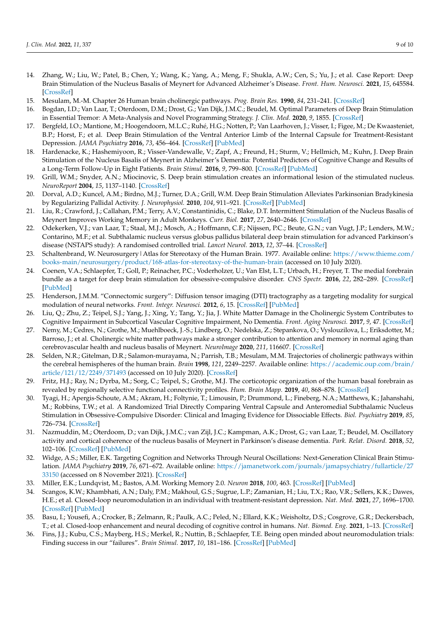- <span id="page-8-0"></span>14. Zhang, W.; Liu, W.; Patel, B.; Chen, Y.; Wang, K.; Yang, A.; Meng, F.; Shukla, A.W.; Cen, S.; Yu, J.; et al. Case Report: Deep Brain Stimulation of the Nucleus Basalis of Meynert for Advanced Alzheimer's Disease. *Front. Hum. Neurosci.* **2021**, *15*, 645584. [\[CrossRef\]](http://doi.org/10.3389/fnhum.2021.645584)
- <span id="page-8-1"></span>15. Mesulam, M.-M. Chapter 26 Human brain cholinergic pathways. *Prog. Brain Res.* **1990**, *84*, 231–241. [\[CrossRef\]](http://doi.org/10.1016/s0079-6123(08)60908-5)
- <span id="page-8-2"></span>16. Bogdan, I.D.; Van Laar, T.; Oterdoom, D.M.; Drost, G.; Van Dijk, J.M.C.; Beudel, M. Optimal Parameters of Deep Brain Stimulation in Essential Tremor: A Meta-Analysis and Novel Programming Strategy. *J. Clin. Med.* **2020**, *9*, 1855. [\[CrossRef\]](http://doi.org/10.3390/jcm9061855)
- <span id="page-8-3"></span>17. Bergfeld, I.O.; Mantione, M.; Hoogendoorn, M.L.C.; Ruhé, H.G.; Notten, P.; Van Laarhoven, J.; Visser, I.; Figee, M.; De Kwaasteniet, B.P.; Horst, F.; et al. Deep Brain Stimulation of the Ventral Anterior Limb of the Internal Capsule for Treatment-Resistant Depression. *JAMA Psychiatry* **2016**, *73*, 456–464. [\[CrossRef\]](http://doi.org/10.1001/jamapsychiatry.2016.0152) [\[PubMed\]](http://www.ncbi.nlm.nih.gov/pubmed/27049915)
- <span id="page-8-4"></span>18. Hardenacke, K.; Hashemiyoon, R.; Visser-Vandewalle, V.; Zapf, A.; Freund, H.; Sturm, V.; Hellmich, M.; Kuhn, J. Deep Brain Stimulation of the Nucleus Basalis of Meynert in Alzheimer's Dementia: Potential Predictors of Cognitive Change and Results of a Long-Term Follow-Up in Eight Patients. *Brain Stimul.* **2016**, *9*, 799–800. [\[CrossRef\]](http://doi.org/10.1016/j.brs.2016.05.013) [\[PubMed\]](http://www.ncbi.nlm.nih.gov/pubmed/27522168)
- <span id="page-8-5"></span>19. Grill, W.M.; Snyder, A.N.; Miocinovic, S. Deep brain stimulation creates an informational lesion of the stimulated nucleus. *NeuroReport* **2004**, *15*, 1137–1140. [\[CrossRef\]](http://doi.org/10.1097/00001756-200405190-00011)
- <span id="page-8-6"></span>20. Dorval, A.D.; Kuncel, A.M.; Birdno, M.J.; Turner, D.A.; Grill, W.M. Deep Brain Stimulation Alleviates Parkinsonian Bradykinesia by Regularizing Pallidal Activity. *J. Neurophysiol.* **2010**, *104*, 911–921. [\[CrossRef\]](http://doi.org/10.1152/jn.00103.2010) [\[PubMed\]](http://www.ncbi.nlm.nih.gov/pubmed/20505125)
- <span id="page-8-7"></span>21. Liu, R.; Crawford, J.; Callahan, P.M.; Terry, A.V.; Constantinidis, C.; Blake, D.T. Intermittent Stimulation of the Nucleus Basalis of Meynert Improves Working Memory in Adult Monkeys. *Curr. Biol.* **2017**, *27*, 2640–2646. [\[CrossRef\]](http://doi.org/10.1016/j.cub.2017.07.021)
- <span id="page-8-8"></span>22. Odekerken, V.J.; van Laar, T.; Staal, M.J.; Mosch, A.; Hoffmann, C.F.; Nijssen, P.C.; Beute, G.N.; van Vugt, J.P.; Lenders, M.W.; Contarino, M.F.; et al. Subthalamic nucleus versus globus pallidus bilateral deep brain stimulation for advanced Parkinson's disease (NSTAPS study): A randomised controlled trial. *Lancet Neurol.* **2013**, *12*, 37–44. [\[CrossRef\]](http://doi.org/10.1016/S1474-4422(12)70264-8)
- <span id="page-8-9"></span>23. Schaltenbrand, W. Neurosurgery|Atlas for Stereotaxy of the Human Brain. 1977. Available online: [https://www.thieme.com/](https://www.thieme.com/books-main/neurosurgery/product/168-atlas-for-stereotaxy-of-the-human-brain) [books-main/neurosurgery/product/168-atlas-for-stereotaxy-of-the-human-brain](https://www.thieme.com/books-main/neurosurgery/product/168-atlas-for-stereotaxy-of-the-human-brain) (accessed on 10 July 2020).
- <span id="page-8-10"></span>24. Coenen, V.A.; Schlaepfer, T.; Goll, P.; Reinacher, P.C.; Voderholzer, U.; Van Elst, L.T.; Urbach, H.; Freyer, T. The medial forebrain bundle as a target for deep brain stimulation for obsessive-compulsive disorder. *CNS Spectr.* **2016**, *22*, 282–289. [\[CrossRef\]](http://doi.org/10.1017/S1092852916000286) [\[PubMed\]](http://www.ncbi.nlm.nih.gov/pubmed/27268576)
- <span id="page-8-11"></span>25. Henderson, J.M.M. "Connectomic surgery": Diffusion tensor imaging (DTI) tractography as a targeting modality for surgical modulation of neural networks. *Front. Integr. Neurosci.* **2012**, *6*, 15. [\[CrossRef\]](http://doi.org/10.3389/fnint.2012.00015) [\[PubMed\]](http://www.ncbi.nlm.nih.gov/pubmed/22536176)
- <span id="page-8-12"></span>26. Liu, Q.; Zhu, Z.; Teipel, S.J.; Yang, J.; Xing, Y.; Tang, Y.; Jia, J. White Matter Damage in the Cholinergic System Contributes to Cognitive Impairment in Subcortical Vascular Cognitive Impairment, No Dementia. *Front. Aging Neurosci.* **2017**, *9*, 47. [\[CrossRef\]](http://doi.org/10.3389/fnagi.2017.00047)
- <span id="page-8-13"></span>27. Nemy, M.; Cedres, N.; Grothe, M.; Muehlboeck, J.-S.; Lindberg, O.; Nedelska, Z.; Stepankova, O.; Vyslouzilova, L.; Eriksdotter, M.; Barroso, J.; et al. Cholinergic white matter pathways make a stronger contribution to attention and memory in normal aging than cerebrovascular health and nucleus basalis of Meynert. *NeuroImage* **2020**, *211*, 116607. [\[CrossRef\]](http://doi.org/10.1016/j.neuroimage.2020.116607)
- <span id="page-8-14"></span>28. Selden, N.R.; Gitelman, D.R.; Salamon-murayama, N.; Parrish, T.B.; Mesulam, M.M. Trajectories of cholinergic pathways within the cerebral hemispheres of the human brain. *Brain* **1998**, *121*, 2249–2257. Available online: [https://academic.oup.com/brain/](https://academic.oup.com/brain/article/121/12/2249/371493) [article/121/12/2249/371493](https://academic.oup.com/brain/article/121/12/2249/371493) (accessed on 10 July 2020). [\[CrossRef\]](http://doi.org/10.1093/brain/121.12.2249)
- <span id="page-8-15"></span>29. Fritz, H.J.; Ray, N.; Dyrba, M.; Sorg, C.; Teipel, S.; Grothe, M.J. The corticotopic organization of the human basal forebrain as revealed by regionally selective functional connectivity profiles. *Hum. Brain Mapp.* **2019**, *40*, 868–878. [\[CrossRef\]](http://doi.org/10.1002/hbm.24417)
- <span id="page-8-16"></span>30. Tyagi, H.; Apergis-Schoute, A.M.; Akram, H.; Foltynie, T.; Limousin, P.; Drummond, L.; Fineberg, N.A.; Matthews, K.; Jahanshahi, M.; Robbins, T.W.; et al. A Randomized Trial Directly Comparing Ventral Capsule and Anteromedial Subthalamic Nucleus Stimulation in Obsessive-Compulsive Disorder: Clinical and Imaging Evidence for Dissociable Effects. *Biol. Psychiatry* **2019**, *85*, 726–734. [\[CrossRef\]](http://doi.org/10.1016/j.biopsych.2019.01.017)
- <span id="page-8-17"></span>31. Nazmuddin, M.; Oterdoom, D.; van Dijk, J.M.C.; van Zijl, J.C.; Kampman, A.K.; Drost, G.; van Laar, T.; Beudel, M. Oscillatory activity and cortical coherence of the nucleus basalis of Meynert in Parkinson's disease dementia. *Park. Relat. Disord.* **2018**, *52*, 102–106. [\[CrossRef\]](http://doi.org/10.1016/j.parkreldis.2018.03.024) [\[PubMed\]](http://www.ncbi.nlm.nih.gov/pubmed/29665982)
- <span id="page-8-18"></span>32. Widge, A.S.; Miller, E.K. Targeting Cognition and Networks Through Neural Oscillations: Next-Generation Clinical Brain Stimulation. *JAMA Psychiatry* **2019**, *76*, 671–672. Available online: [https://jamanetwork.com/journals/jamapsychiatry/fullarticle/27](https://jamanetwork.com/journals/jamapsychiatry/fullarticle/2733150) [33150](https://jamanetwork.com/journals/jamapsychiatry/fullarticle/2733150) (accessed on 8 November 2021). [\[CrossRef\]](http://doi.org/10.1001/jamapsychiatry.2019.0740)
- <span id="page-8-19"></span>33. Miller, E.K.; Lundqvist, M.; Bastos, A.M. Working Memory 2.0. *Neuron* **2018**, *100*, 463. [\[CrossRef\]](http://doi.org/10.1016/j.neuron.2018.09.023) [\[PubMed\]](http://www.ncbi.nlm.nih.gov/pubmed/30359609)
- <span id="page-8-20"></span>34. Scangos, K.W.; Khambhati, A.N.; Daly, P.M.; Makhoul, G.S.; Sugrue, L.P.; Zamanian, H.; Liu, T.X.; Rao, V.R.; Sellers, K.K.; Dawes, H.E.; et al. Closed-loop neuromodulation in an individual with treatment-resistant depression. *Nat. Med.* **2021**, *27*, 1696–1700. [\[CrossRef\]](http://doi.org/10.1038/s41591-021-01480-w) [\[PubMed\]](http://www.ncbi.nlm.nih.gov/pubmed/34608328)
- <span id="page-8-21"></span>35. Basu, I.; Yousefi, A.; Crocker, B.; Zelmann, R.; Paulk, A.C.; Peled, N.; Ellard, K.K.; Weisholtz, D.S.; Cosgrove, G.R.; Deckersbach, T.; et al. Closed-loop enhancement and neural decoding of cognitive control in humans. *Nat. Biomed. Eng.* **2021**, 1–13. [\[CrossRef\]](http://doi.org/10.1038/s41551-021-00804-y)
- <span id="page-8-22"></span>36. Fins, J.J.; Kubu, C.S.; Mayberg, H.S.; Merkel, R.; Nuttin, B.; Schlaepfer, T.E. Being open minded about neuromodulation trials: Finding success in our "failures". *Brain Stimul.* **2017**, *10*, 181–186. [\[CrossRef\]](http://doi.org/10.1016/j.brs.2016.12.012) [\[PubMed\]](http://www.ncbi.nlm.nih.gov/pubmed/28159536)